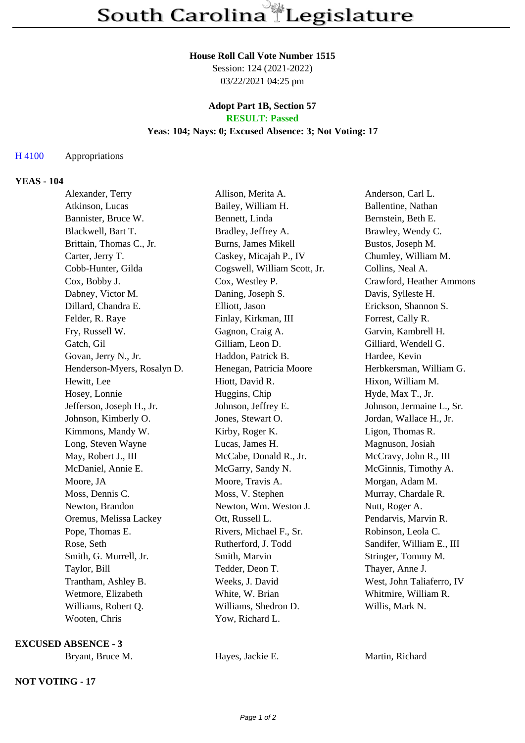#### **House Roll Call Vote Number 1515**

Session: 124 (2021-2022) 03/22/2021 04:25 pm

#### **Adopt Part 1B, Section 57 RESULT: Passed**

# **Yeas: 104; Nays: 0; Excused Absence: 3; Not Voting: 17**

## H 4100 Appropriations

## **YEAS - 104**

| Alexander, Terry            | Allison, Merita A.           | Anderson, Carl L.         |
|-----------------------------|------------------------------|---------------------------|
| Atkinson, Lucas             | Bailey, William H.           | Ballentine, Nathan        |
| Bannister, Bruce W.         | Bennett, Linda               | Bernstein, Beth E.        |
| Blackwell, Bart T.          | Bradley, Jeffrey A.          | Brawley, Wendy C.         |
| Brittain, Thomas C., Jr.    | Burns, James Mikell          | Bustos, Joseph M.         |
| Carter, Jerry T.            | Caskey, Micajah P., IV       | Chumley, William M.       |
| Cobb-Hunter, Gilda          | Cogswell, William Scott, Jr. | Collins, Neal A.          |
| Cox, Bobby J.               | Cox, Westley P.              | Crawford, Heather Ammons  |
| Dabney, Victor M.           | Daning, Joseph S.            | Davis, Sylleste H.        |
| Dillard, Chandra E.         | Elliott, Jason               | Erickson, Shannon S.      |
| Felder, R. Raye             | Finlay, Kirkman, III         | Forrest, Cally R.         |
| Fry, Russell W.             | Gagnon, Craig A.             | Garvin, Kambrell H.       |
| Gatch, Gil                  | Gilliam, Leon D.             | Gilliard, Wendell G.      |
| Govan, Jerry N., Jr.        | Haddon, Patrick B.           | Hardee, Kevin             |
| Henderson-Myers, Rosalyn D. | Henegan, Patricia Moore      | Herbkersman, William G.   |
| Hewitt, Lee                 | Hiott, David R.              | Hixon, William M.         |
| Hosey, Lonnie               | Huggins, Chip                | Hyde, Max T., Jr.         |
| Jefferson, Joseph H., Jr.   | Johnson, Jeffrey E.          | Johnson, Jermaine L., Sr. |
| Johnson, Kimberly O.        | Jones, Stewart O.            | Jordan, Wallace H., Jr.   |
| Kimmons, Mandy W.           | Kirby, Roger K.              | Ligon, Thomas R.          |
| Long, Steven Wayne          | Lucas, James H.              | Magnuson, Josiah          |
| May, Robert J., III         | McCabe, Donald R., Jr.       | McCravy, John R., III     |
| McDaniel, Annie E.          | McGarry, Sandy N.            | McGinnis, Timothy A.      |
| Moore, JA                   | Moore, Travis A.             | Morgan, Adam M.           |
| Moss, Dennis C.             | Moss, V. Stephen             | Murray, Chardale R.       |
| Newton, Brandon             | Newton, Wm. Weston J.        | Nutt, Roger A.            |
| Oremus, Melissa Lackey      | Ott, Russell L.              | Pendarvis, Marvin R.      |
| Pope, Thomas E.             | Rivers, Michael F., Sr.      | Robinson, Leola C.        |
| Rose, Seth                  | Rutherford, J. Todd          | Sandifer, William E., III |
| Smith, G. Murrell, Jr.      | Smith, Marvin                | Stringer, Tommy M.        |
| Taylor, Bill                | Tedder, Deon T.              | Thayer, Anne J.           |
| Trantham, Ashley B.         | Weeks, J. David              | West, John Taliaferro, IV |
| Wetmore, Elizabeth          | White, W. Brian              | Whitmire, William R.      |
| Williams, Robert Q.         | Williams, Shedron D.         | Willis, Mark N.           |
| Wooten, Chris               | Yow, Richard L.              |                           |

**EXCUSED ABSENCE - 3**

### **NOT VOTING - 17**

Bryant, Bruce M. **Hayes, Jackie E.** Martin, Richard